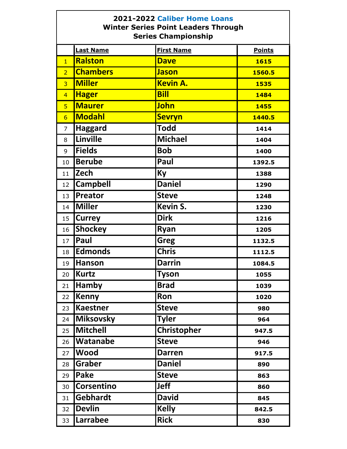## **2021-2022 Caliber Home Loans Winter Series Point Leaders Through Series Championship**

|                  | <b>Last Name</b>  | <b>First Name</b> | <b>Points</b> |
|------------------|-------------------|-------------------|---------------|
| $\overline{1}$   | <b>Ralston</b>    | <b>Dave</b>       | <b>1615</b>   |
| $\overline{2}$   | <b>Chambers</b>   | <b>Jason</b>      | 1560.5        |
| $\overline{3}$   | <b>Miller</b>     | <b>Kevin A.</b>   | 1535          |
| $\overline{4}$   | <b>Hager</b>      | <b>Bill</b>       | 1484          |
| $\overline{5}$   | <b>Maurer</b>     | <b>John</b>       | 1455          |
| $6 \overline{6}$ | <b>Modahl</b>     | <b>Sevryn</b>     | 1440.5        |
| $\overline{7}$   | <b>Haggard</b>    | <b>Todd</b>       | 1414          |
| 8                | Linville          | <b>Michael</b>    | 1404          |
| 9                | <b>Fields</b>     | <b>Bob</b>        | 1400          |
| 10               | <b>Berube</b>     | Paul              | 1392.5        |
| 11               | <b>Zech</b>       | <b>Ky</b>         | 1388          |
| 12               | <b>Campbell</b>   | <b>Daniel</b>     | 1290          |
| 13               | Preator           | <b>Steve</b>      | 1248          |
| 14               | Miller            | Kevin S.          | 1230          |
| 15               | <b>Currey</b>     | <b>Dirk</b>       | 1216          |
| 16               | <b>Shockey</b>    | Ryan              | 1205          |
| 17               | <b>Paul</b>       | <b>Greg</b>       | 1132.5        |
| 18               | Edmonds           | <b>Chris</b>      | 1112.5        |
| 19               | <b>Hanson</b>     | <b>Darrin</b>     | 1084.5        |
| 20               | Kurtz             | <b>Tyson</b>      | 1055          |
| 21               | <b>Hamby</b>      | <b>Brad</b>       | 1039          |
| 22               | Kenny             | Ron               | 1020          |
| 23               | <b>Kaestner</b>   | <b>Steve</b>      | 980           |
| 24               | <b>Miksovsky</b>  | <b>Tyler</b>      | 964           |
| 25               | Mitchell          | Christopher       | 947.5         |
| 26               | <b>Watanabe</b>   | <b>Steve</b>      | 946           |
| 27               | <b>Wood</b>       | <b>Darren</b>     | 917.5         |
| 28               | Graber            | <b>Daniel</b>     | 890           |
| 29               | <b>Pake</b>       | <b>Steve</b>      | 863           |
| 30               | <b>Corsentino</b> | Jeff              | 860           |
| 31               | Gebhardt          | <b>David</b>      | 845           |
| 32               | <b>Devlin</b>     | <b>Kelly</b>      | 842.5         |
| 33               | Larrabee          | <b>Rick</b>       | 830           |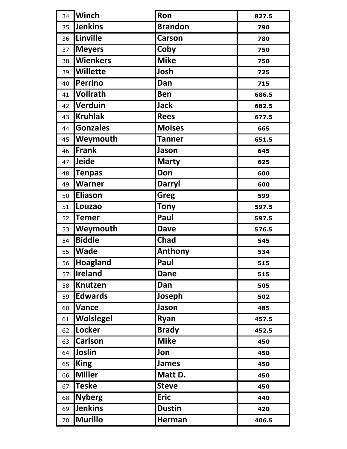| 34 | <b>Winch</b>    | Ron            | 827.5 |
|----|-----------------|----------------|-------|
| 35 | <b>Jenkins</b>  | <b>Brandon</b> | 790   |
| 36 | Linville        | <b>Carson</b>  | 780   |
| 37 | <b>Meyers</b>   | Coby           | 750   |
| 38 | <b>Wienkers</b> | <b>Mike</b>    | 750   |
| 39 | <b>Willette</b> | Josh           | 725   |
| 40 | <b>Perrino</b>  | Dan            | 715   |
| 41 | <b>Vollrath</b> | <b>Ben</b>     | 686.5 |
| 42 | <b>Verduin</b>  | <b>Jack</b>    | 682.5 |
| 43 | <b>Kruhlak</b>  | <b>Rees</b>    | 677.5 |
| 44 | <b>Gonzales</b> | <b>Moises</b>  | 665   |
| 45 | Weymouth        | <b>Tanner</b>  | 651.5 |
| 46 | Frank           | Jason          | 645   |
| 47 | Jeide           | <b>Marty</b>   | 625   |
| 48 | <b>Tenpas</b>   | Don            | 600   |
| 49 | <b>Warner</b>   | <b>Darryl</b>  | 600   |
| 50 | <b>Eliason</b>  | Greg           | 599   |
| 51 | Louzao          | <b>Tony</b>    | 597.5 |
| 52 | <b>Temer</b>    | Paul           | 597.5 |
| 53 | Weymouth        | <b>Dave</b>    | 576.5 |
| 54 | <b>Biddle</b>   | <b>Chad</b>    | 545   |
| 55 | <b>Wade</b>     | Anthony        | 534   |
| 56 | Hoagland        | Paul           | 515   |
| 57 | <b>Ireland</b>  | <b>Dane</b>    | 515   |
| 58 | Knutzen         | Dan            | 505   |
| 59 | <b>Edwards</b>  | Joseph         | 502   |
| 60 | <b>Vance</b>    | Jason          | 485   |
| 61 | Wolslegel       | Ryan           | 457.5 |
| 62 | Locker          | <b>Brady</b>   | 452.5 |
| 63 | <b>Carlson</b>  | <b>Mike</b>    | 450   |
| 64 | Joslin          | Jon            | 450   |
| 65 | <b>King</b>     | James          | 450   |
| 66 | <b>Miller</b>   | Matt D.        | 450   |
| 67 | <b>Teske</b>    | <b>Steve</b>   | 450   |
| 68 | <b>Nyberg</b>   | <b>Eric</b>    | 440   |
| 69 | <b>Jenkins</b>  | <b>Dustin</b>  | 420   |
| 70 | <b>Murillo</b>  | Herman         | 406.5 |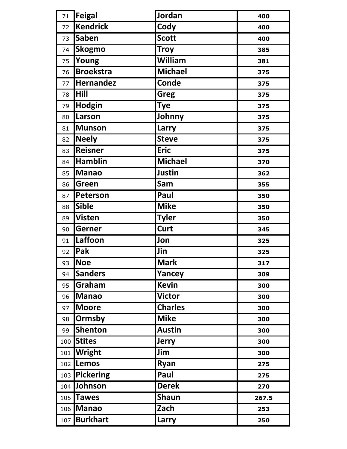| 71  | <b>Feigal</b>    | Jordan         | 400   |
|-----|------------------|----------------|-------|
| 72  | <b>Kendrick</b>  | Cody           | 400   |
| 73  | <b>Saben</b>     | <b>Scott</b>   | 400   |
| 74  | <b>Skogmo</b>    | <b>Troy</b>    | 385   |
| 75  | Young            | William        | 381   |
| 76  | <b>Broekstra</b> | <b>Michael</b> | 375   |
| 77  | <b>Hernandez</b> | <b>Conde</b>   | 375   |
| 78  | Hill             | Greg           | 375   |
| 79  | <b>Hodgin</b>    | <b>Tye</b>     | 375   |
| 80  | Larson           | Johnny         | 375   |
| 81  | <b>Munson</b>    | Larry          | 375   |
| 82  | <b>Neely</b>     | <b>Steve</b>   | 375   |
| 83  | Reisner          | <b>Eric</b>    | 375   |
| 84  | <b>Hamblin</b>   | <b>Michael</b> | 370   |
| 85  | <b>Manao</b>     | Justin         | 362   |
| 86  | Green            | Sam            | 355   |
| 87  | Peterson         | Paul           | 350   |
| 88  | <b>Sible</b>     | <b>Mike</b>    | 350   |
| 89  | <b>Visten</b>    | <b>Tyler</b>   | 350   |
| 90  | Gerner           | Curt           | 345   |
| 91  | Laffoon          | Jon            | 325   |
| 92  | Pak              | Jin            | 325   |
| 93  | Noe              | <b>Mark</b>    | 317   |
| 94  | <b>Sanders</b>   | Yancey         | 309   |
| 95  | Graham           | <b>Kevin</b>   | 300   |
| 96  | <b>Manao</b>     | <b>Victor</b>  | 300   |
| 97  | <b>Moore</b>     | <b>Charles</b> | 300   |
| 98  | Ormsby           | <b>Mike</b>    | 300   |
| 99  | <b>Shenton</b>   | <b>Austin</b>  | 300   |
| 100 | <b>Stites</b>    | <b>Jerry</b>   | 300   |
|     | 101 Wright       | Jim            | 300   |
|     | 102 Lemos        | Ryan           | 275   |
|     | 103 Pickering    | Paul           | 275   |
|     | 104 Johnson      | <b>Derek</b>   | 270   |
|     | 105 Tawes        | <b>Shaun</b>   | 267.5 |
|     | 106 Manao        | Zach           | 253   |
| 107 | <b>Burkhart</b>  | Larry          | 250   |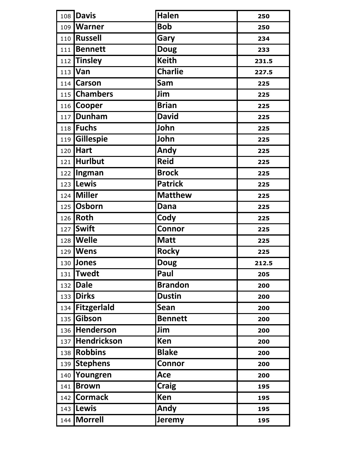|     | 108 Davis               | <b>Halen</b>   | 250   |
|-----|-------------------------|----------------|-------|
|     | 109   Warner            | <b>Bob</b>     | 250   |
|     | 110 Russell             | Gary           | 234   |
|     | 111 Bennett             | <b>Doug</b>    | 233   |
|     | $112$ Tinsley           | <b>Keith</b>   | 231.5 |
|     | 113 Van                 | <b>Charlie</b> | 227.5 |
|     | 114 Carson              | Sam            | 225   |
|     | 115 Chambers            | Jim            | 225   |
|     | 116 Cooper              | <b>Brian</b>   | 225   |
|     | 117 Dunham              | <b>David</b>   | 225   |
|     | 118 Fuchs               | John           | 225   |
|     | 119 Gillespie           | John           | 225   |
|     | 120 Hart                | Andy           | 225   |
|     | 121 Hurlbut             | <b>Reid</b>    | 225   |
|     | 122 <i>Ingman</i>       | <b>Brock</b>   | 225   |
|     | 123 Lewis               | <b>Patrick</b> | 225   |
|     | $\overline{124}$ Miller | <b>Matthew</b> | 225   |
|     | 125 Osborn              | Dana           | 225   |
| 126 | Roth                    | Cody           | 225   |
| 127 | <b>Swift</b>            | Connor         | 225   |
|     | 128   Welle             | <b>Matt</b>    | 225   |
|     | 129   Wens              | <b>Rocky</b>   | 225   |
|     | 130 Jones               | <b>Doug</b>    | 212.5 |
|     | 131 Twedt               | Paul           | 205   |
|     | 132 Dale                | <b>Brandon</b> | 200   |
|     | 133 Dirks               | <b>Dustin</b>  | 200   |
|     | 134 Fitzgerlald         | Sean           | 200   |
|     | 135 Gibson              | <b>Bennett</b> | 200   |
|     | 136 Henderson           | Jim            | 200   |
|     | 137 Hendrickson         | Ken            | 200   |
|     | 138 Robbins             | <b>Blake</b>   | 200   |
|     | 139 Stephens            | <b>Connor</b>  | 200   |
|     | 140 Youngren            | Ace            | 200   |
|     | 141 <b>Brown</b>        | <b>Craig</b>   | 195   |
|     | 142 Cormack             | Ken            | 195   |
|     | 143 Lewis               | Andy           | 195   |
|     | 144   Morrell           | <b>Jeremy</b>  | 195   |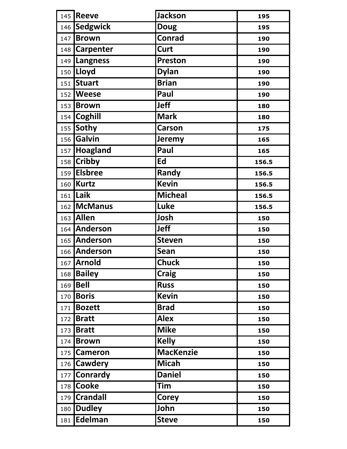|     | 145 Reeve                 | <b>Jackson</b>   | 195   |
|-----|---------------------------|------------------|-------|
| 146 | <b>Sedgwick</b>           | <b>Doug</b>      | 195   |
| 147 | <b>Brown</b>              | <b>Conrad</b>    | 190   |
|     | 148 Carpenter             | Curt             | 190   |
|     | $\overline{149}$ Langness | <b>Preston</b>   | 190   |
|     | 150   Lloyd               | <b>Dylan</b>     | 190   |
| 151 | <b>Stuart</b>             | <b>Brian</b>     | 190   |
|     | 152 <b>Weese</b>          | Paul             | 190   |
|     | 153 Brown                 | <b>Jeff</b>      | 180   |
|     | 154 Coghill               | <b>Mark</b>      | 180   |
|     | 155 Sothy                 | <b>Carson</b>    | 175   |
| 156 | Galvin                    | Jeremy           | 165   |
| 157 | Hoagland                  | Paul             | 165   |
|     | 158 Cribby                | Ed               | 156.5 |
|     | 159 Elsbree               | Randy            | 156.5 |
|     | 160 Kurtz                 | <b>Kevin</b>     | 156.5 |
|     | $161$ Laik                | <b>Micheal</b>   | 156.5 |
|     | 162 McManus               | Luke             | 156.5 |
|     | 163 Allen                 | Josh             | 150   |
|     | 164 Anderson              | <b>Jeff</b>      | 150   |
|     | 165 Anderson              | <b>Steven</b>    | 150   |
|     | 166 Anderson              | Sean             | 150   |
|     | 167 Arnold                | <b>Chuck</b>     | 150   |
| 168 | <b>Bailey</b>             | <b>Craig</b>     | 150   |
| 169 | <b>Bell</b>               | <b>Russ</b>      | 150   |
| 170 | <b>Boris</b>              | <b>Kevin</b>     | 150   |
| 171 | <b>Bozett</b>             | <b>Brad</b>      | 150   |
|     | 172 Bratt                 | <b>Alex</b>      | 150   |
| 173 | <b>Bratt</b>              | <b>Mike</b>      | 150   |
| 174 | <b>Brown</b>              | <b>Kelly</b>     | 150   |
|     | 175 Cameron               | <b>MacKenzie</b> | 150   |
| 176 | <b>Cawdery</b>            | <b>Micah</b>     | 150   |
| 177 | <b>Conrardy</b>           | <b>Daniel</b>    | 150   |
|     | 178 Cooke                 | <b>Tim</b>       | 150   |
|     | 179 Crandall              | <b>Corey</b>     | 150   |
| 180 | <b>Dudley</b>             | John             | 150   |
|     | 181 Edelman               | <b>Steve</b>     | 150   |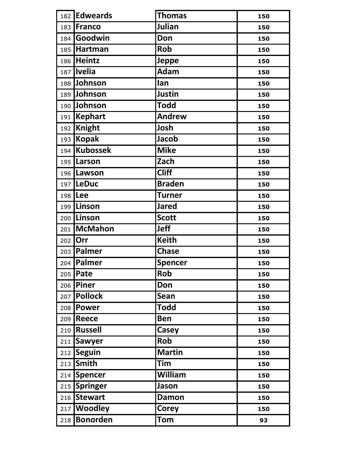|     | 182 Edweards    | <b>Thomas</b>  | 150 |
|-----|-----------------|----------------|-----|
|     | 183 Franco      | Julian         | 150 |
|     | 184 Goodwin     | Don            | 150 |
|     | 185 Hartman     | Rob            | 150 |
|     | 186 Heintz      | <b>Jeppe</b>   | 150 |
| 187 | <b>Ivelia</b>   | <b>Adam</b>    | 150 |
|     | 188 Johnson     | lan            | 150 |
|     | 189 Johnson     | Justin         | 150 |
|     | 190 Johnson     | <b>Todd</b>    | 150 |
| 191 | <b>Kephart</b>  | <b>Andrew</b>  | 150 |
|     | 192 Knight      | Josh           | 150 |
| 193 | <b>Kopak</b>    | <b>Jacob</b>   | 150 |
| 194 | <b>Kubossek</b> | <b>Mike</b>    | 150 |
|     | 195 Larson      | Zach           | 150 |
|     | 196 Lawson      | <b>Cliff</b>   | 150 |
|     | 197   LeDuc     | <b>Braden</b>  | 150 |
|     | 198 Lee         | <b>Turner</b>  | 150 |
|     | 199 Linson      | <b>Jared</b>   | 150 |
|     | 200 Linson      | <b>Scott</b>   | 150 |
| 201 | <b>McMahon</b>  | <b>Jeff</b>    | 150 |
|     | 202 Orr         | <b>Keith</b>   | 150 |
|     | 203   Palmer    | <b>Chase</b>   | 150 |
|     | 204   Palmer    | <b>Spencer</b> | 150 |
|     | 205 Pate        | Rob            | 150 |
|     | 206 Piner       | Don            | 150 |
|     | 207 Pollock     | Sean           | 150 |
|     | 208 Power       | <b>Todd</b>    | 150 |
|     | 209 Reece       | <b>Ben</b>     | 150 |
|     | 210 Russell     | <b>Casey</b>   | 150 |
|     | 211 Sawyer      | Rob            | 150 |
|     | 212 Seguin      | <b>Martin</b>  | 150 |
| 213 | <b>Smith</b>    | Tim            | 150 |
|     | 214 Spencer     | William        | 150 |
|     | 215 Springer    | Jason          | 150 |
| 216 | <b>Stewart</b>  | <b>Damon</b>   | 150 |
|     | 217 Woodley     | <b>Corey</b>   | 150 |
|     | 218 Bonorden    | Tom            | 93  |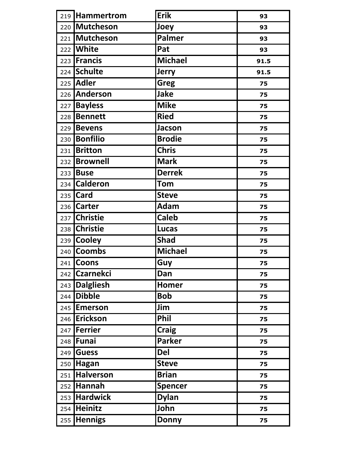|     | 219 Hammertrom      | <b>Erik</b>    | 93   |
|-----|---------------------|----------------|------|
|     | 220 Mutcheson       | Joey           | 93   |
| 221 | Mutcheson           | <b>Palmer</b>  | 93   |
|     | 222 <b>White</b>    | Pat            | 93   |
|     | 223 Francis         | <b>Michael</b> | 91.5 |
|     | 224 Schulte         | <b>Jerry</b>   | 91.5 |
|     | 225 Adler           | <b>Greg</b>    | 75   |
|     | 226 Anderson        | <b>Jake</b>    | 75   |
| 227 | <b>Bayless</b>      | <b>Mike</b>    | 75   |
| 228 | <b>Bennett</b>      | <b>Ried</b>    | 75   |
| 229 | <b>Bevens</b>       | <b>Jacson</b>  | 75   |
|     | 230 <b>Bonfilio</b> | <b>Brodie</b>  | 75   |
| 231 | <b>Britton</b>      | <b>Chris</b>   | 75   |
| 232 | <b>Brownell</b>     | <b>Mark</b>    | 75   |
|     | 233 Buse            | <b>Derrek</b>  | 75   |
| 234 | <b>Calderon</b>     | Tom            | 75   |
| 235 | <b>Card</b>         | <b>Steve</b>   | 75   |
|     | 236 Carter          | Adam           | 75   |
| 237 | <b>Christie</b>     | <b>Caleb</b>   | 75   |
| 238 | <b>Christie</b>     | <b>Lucas</b>   | 75   |
| 239 | <b>Cooley</b>       | <b>Shad</b>    | 75   |
| 240 | <b>Coombs</b>       | <b>Michael</b> | 75   |
|     | 241 Coons           | Guy            | 75   |
|     | 242 Czarnekci       | Dan            | 75   |
|     | 243 Dalgliesh       | Homer          | 75   |
|     | 244 Dibble          | <b>Bob</b>     | 75   |
|     | 245 Emerson         | Jim            | 75   |
|     | 246 Erickson        | Phil           | 75   |
|     | 247   Ferrier       | <b>Craig</b>   | 75   |
|     | 248 Funai           | <b>Parker</b>  | 75   |
| 249 | <b>Guess</b>        | Del            | 75   |
|     | 250 Hagan           | <b>Steve</b>   | 75   |
|     | 251 Halverson       | <b>Brian</b>   | 75   |
|     | $252$ Hannah        | <b>Spencer</b> | 75   |
|     | 253 Hardwick        | <b>Dylan</b>   | 75   |
|     | 254 Heinitz         | John           | 75   |
|     | 255 Hennigs         | <b>Donny</b>   | 75   |